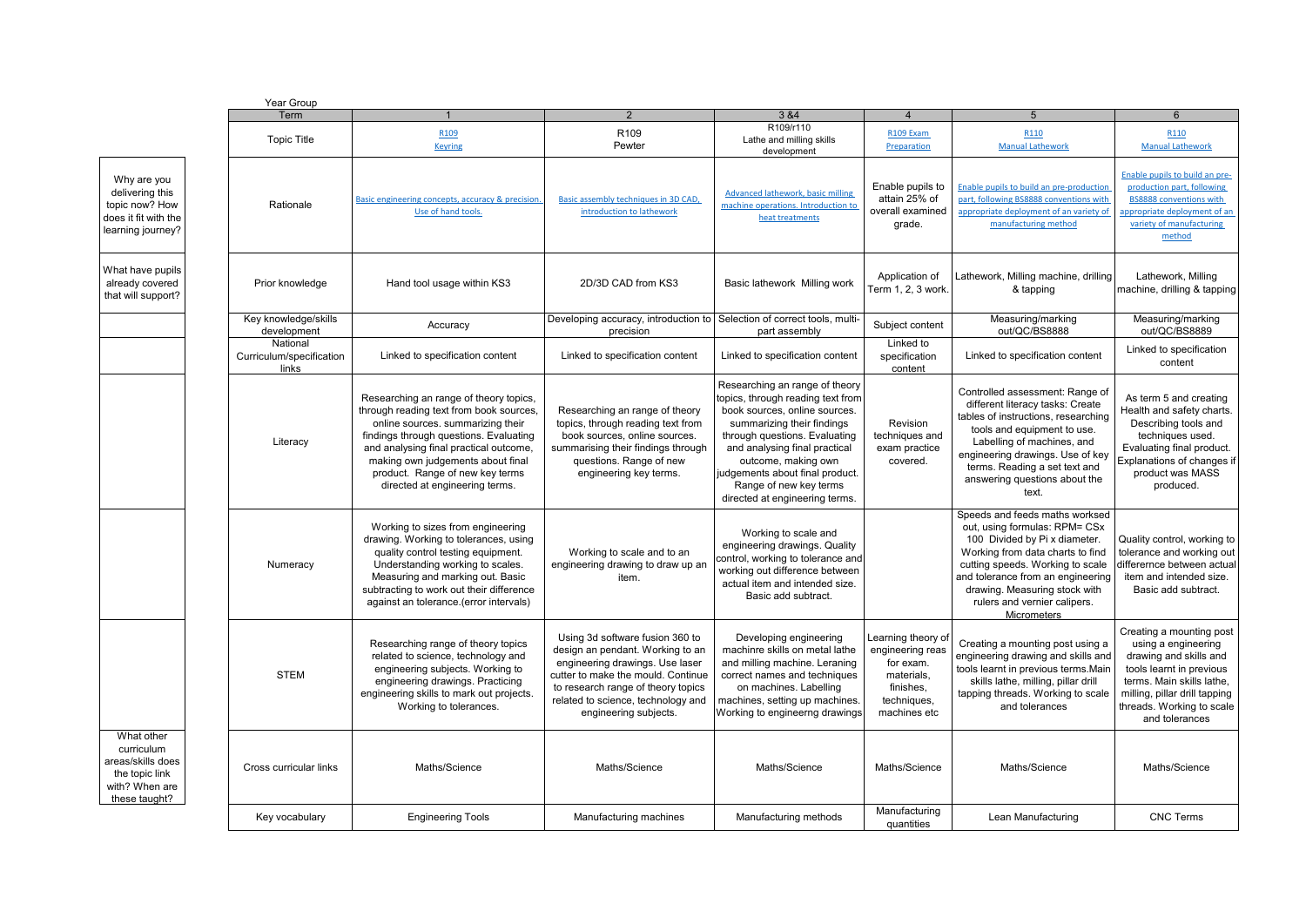Why are you delivering this topic now? How does it fit with the learning journey? already covered

What have pupils that will support?

What other curriculum areas/skills do the topic link with? When ar these taught?

|                            | Year Group                                                                                                                                                                                                                                                                                                                                                                                                                                                                                 |                                                                                                                                                                                                                                                                                                                      |                                                                                                                                                                                                                         |                                                                                                                                                                                                                                                                                                                            |                                                                                                                                                                                                              |                                                                                                                                                                                                                                                                                               |                                                                                                                                                                                             |  |  |  |
|----------------------------|--------------------------------------------------------------------------------------------------------------------------------------------------------------------------------------------------------------------------------------------------------------------------------------------------------------------------------------------------------------------------------------------------------------------------------------------------------------------------------------------|----------------------------------------------------------------------------------------------------------------------------------------------------------------------------------------------------------------------------------------------------------------------------------------------------------------------|-------------------------------------------------------------------------------------------------------------------------------------------------------------------------------------------------------------------------|----------------------------------------------------------------------------------------------------------------------------------------------------------------------------------------------------------------------------------------------------------------------------------------------------------------------------|--------------------------------------------------------------------------------------------------------------------------------------------------------------------------------------------------------------|-----------------------------------------------------------------------------------------------------------------------------------------------------------------------------------------------------------------------------------------------------------------------------------------------|---------------------------------------------------------------------------------------------------------------------------------------------------------------------------------------------|--|--|--|
|                            | Term                                                                                                                                                                                                                                                                                                                                                                                                                                                                                       |                                                                                                                                                                                                                                                                                                                      | 2                                                                                                                                                                                                                       | 3 & 4                                                                                                                                                                                                                                                                                                                      |                                                                                                                                                                                                              | 5                                                                                                                                                                                                                                                                                             | 6                                                                                                                                                                                           |  |  |  |
|                            | <b>Topic Title</b>                                                                                                                                                                                                                                                                                                                                                                                                                                                                         | R <sub>109</sub><br><b>Keyring</b>                                                                                                                                                                                                                                                                                   | R <sub>109</sub><br>Pewter                                                                                                                                                                                              | R109/r110<br>Lathe and milling skills<br>development                                                                                                                                                                                                                                                                       | R109 Exam<br><b>Preparation</b>                                                                                                                                                                              | R110<br><b>Manual Lathework</b>                                                                                                                                                                                                                                                               | R <sub>110</sub><br><b>Manual Lathework</b>                                                                                                                                                 |  |  |  |
| wc<br>the<br>эу?           | Rationale                                                                                                                                                                                                                                                                                                                                                                                                                                                                                  | Basic engineering concepts, accuracy & precision.<br>Use of hand tools.                                                                                                                                                                                                                                              | Basic assembly techniques in 3D CAD,<br>introduction to lathework                                                                                                                                                       | Advanced lathework, basic milling<br>machine operations. Introduction to<br>heat treatments                                                                                                                                                                                                                                | Enable pupils to<br>attain 25% of<br>overall examined<br>grade.                                                                                                                                              | Enable pupils to build an pre-production<br>part, following BS8888 conventions with<br>appropriate deployment of an variety of<br>manufacturing method                                                                                                                                        | Enable pupils to build an pre-<br>production part, following<br><b>BS8888 conventions with</b><br>appropriate deployment of an<br>variety of manufacturing<br>method                        |  |  |  |
| pils<br>ed<br>rt?          | Prior knowledge                                                                                                                                                                                                                                                                                                                                                                                                                                                                            | Hand tool usage within KS3                                                                                                                                                                                                                                                                                           | 2D/3D CAD from KS3                                                                                                                                                                                                      | Basic lathework Milling work                                                                                                                                                                                                                                                                                               | Application of<br>Term 1, 2, 3 work.                                                                                                                                                                         | Lathework, Milling machine, drilling<br>& tapping                                                                                                                                                                                                                                             | Lathework, Milling<br>machine, drilling & tapping                                                                                                                                           |  |  |  |
|                            | Key knowledge/skills<br>development                                                                                                                                                                                                                                                                                                                                                                                                                                                        | Accuracy                                                                                                                                                                                                                                                                                                             | Developing accuracy, introduction to<br>precision                                                                                                                                                                       | Selection of correct tools, multi-<br>part assembly                                                                                                                                                                                                                                                                        | Subject content                                                                                                                                                                                              | Measuring/marking<br>out/QC/BS8888                                                                                                                                                                                                                                                            | Measuring/marking<br>out/QC/BS8889                                                                                                                                                          |  |  |  |
|                            | National<br>Curriculum/specification<br>links                                                                                                                                                                                                                                                                                                                                                                                                                                              | Linked to specification content                                                                                                                                                                                                                                                                                      | Linked to specification content                                                                                                                                                                                         | Linked to specification content                                                                                                                                                                                                                                                                                            | Linked to<br>specification<br>content                                                                                                                                                                        | Linked to specification content                                                                                                                                                                                                                                                               | Linked to specification<br>content                                                                                                                                                          |  |  |  |
|                            | Literacy                                                                                                                                                                                                                                                                                                                                                                                                                                                                                   | Researching an range of theory topics,<br>through reading text from book sources,<br>online sources. summarizing their<br>findings through questions. Evaluating<br>and analysing final practical outcome,<br>making own judgements about final<br>product. Range of new key terms<br>directed at engineering terms. | Researching an range of theory<br>topics, through reading text from<br>book sources, online sources.<br>summarising their findings through<br>questions. Range of new<br>engineering key terms.                         | Researching an range of theory<br>topics, through reading text from<br>book sources, online sources.<br>summarizing their findings<br>through questions. Evaluating<br>and analysing final practical<br>outcome, making own<br>judgements about final product.<br>Range of new key terms<br>directed at engineering terms. | Revision<br>techniques and<br>exam practice<br>covered.                                                                                                                                                      | Controlled assessment: Range of<br>different literacy tasks: Create<br>tables of instructions, researching<br>tools and equipment to use.<br>Labelling of machines, and<br>engineering drawings. Use of key<br>terms. Reading a set text and<br>answering questions about the<br>text.        | As term 5 and creating<br>Health and safety charts.<br>Describing tools and<br>techniques used.<br>Evaluating final product.<br>Explanations of changes if<br>product was MASS<br>produced. |  |  |  |
|                            | Numeracy                                                                                                                                                                                                                                                                                                                                                                                                                                                                                   | Working to sizes from engineering<br>drawing. Working to tolerances, using<br>quality control testing equipment.<br>Understanding working to scales.<br>Measuring and marking out. Basic<br>subtracting to work out their difference<br>against an tolerance.(error intervals)                                       | Working to scale and to an<br>engineering drawing to draw up an<br>item.                                                                                                                                                | Working to scale and<br>engineering drawings. Quality<br>control, working to tolerance and<br>working out difference between<br>actual item and intended size.<br>Basic add subtract.                                                                                                                                      |                                                                                                                                                                                                              | Speeds and feeds maths worksed<br>out, using formulas: RPM= CSx<br>100 Divided by Pi x diameter.<br>Working from data charts to find<br>cutting speeds. Working to scale<br>and tolerance from an engineering<br>drawing. Measuring stock with<br>rulers and vernier calipers.<br>Micrometers | Quality control, working to<br>tolerance and working out<br>differernce between actual<br>item and intended size.<br>Basic add subtract.                                                    |  |  |  |
|                            | Using 3d software fusion 360 to<br>Researching range of theory topics<br>design an pendant. Working to an<br>related to science, technology and<br>engineering drawings. Use laser<br>engineering subjects. Working to<br><b>STEM</b><br>cutter to make the mould. Continue<br>engineering drawings. Practicing<br>to research range of theory topics<br>engineering skills to mark out projects.<br>related to science, technology and<br>Working to tolerances.<br>engineering subjects. |                                                                                                                                                                                                                                                                                                                      | Developing engineering<br>machinre skills on metal lathe<br>and milling machine. Leraning<br>correct names and techniques<br>on machines. Labelling<br>machines, setting up machines.<br>Working to engineerng drawings | Learning theory of<br>engineering reas<br>for exam.<br>materials,<br>finishes,<br>techniques,<br>machines etc                                                                                                                                                                                                              | Creating a mounting post using a<br>engineering drawing and skills and<br>tools learnt in previous terms. Main<br>skills lathe, milling, pillar drill<br>tapping threads. Working to scale<br>and tolerances | Creating a mounting post<br>using a engineering<br>drawing and skills and<br>tools learnt in previous<br>terms. Main skills lathe,<br>milling, pillar drill tapping<br>threads. Working to scale<br>and tolerances                                                                            |                                                                                                                                                                                             |  |  |  |
| œs<br>ıre<br>$\frac{2}{1}$ | Cross curricular links                                                                                                                                                                                                                                                                                                                                                                                                                                                                     | Maths/Science                                                                                                                                                                                                                                                                                                        | Maths/Science                                                                                                                                                                                                           | Maths/Science                                                                                                                                                                                                                                                                                                              | Maths/Science                                                                                                                                                                                                | Maths/Science                                                                                                                                                                                                                                                                                 | Maths/Science                                                                                                                                                                               |  |  |  |
|                            | Key vocabulary                                                                                                                                                                                                                                                                                                                                                                                                                                                                             | <b>Engineering Tools</b>                                                                                                                                                                                                                                                                                             | Manufacturing machines                                                                                                                                                                                                  | Manufacturing methods                                                                                                                                                                                                                                                                                                      | Manufacturing<br>quantities                                                                                                                                                                                  | Lean Manufacturing                                                                                                                                                                                                                                                                            | <b>CNC Terms</b>                                                                                                                                                                            |  |  |  |